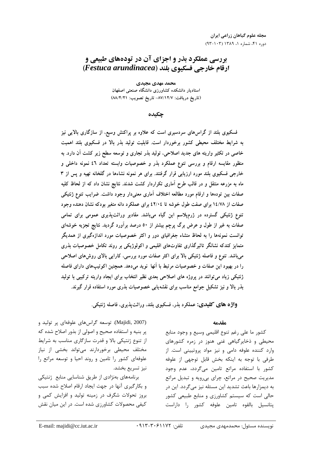# بررسی عملکرد بذر و اجزای آن در تودههای طبیعی و ارقام خارجي فسكيوي بلند (Festuca arundinacea)

محمد مهدي مجيدي استادیار دانشکده کشاورزی دانشگاه صنعتی اصفهان (تاريخ دريافت: ٨٧/١٢/٧- تاريخ تصويب: ٨٨/٤/٢١)

چکىدە

فسکیوی بلند از گراسهای سردسیری است که علاوه بر پراکنش وسیع، از سازگاری بالایی نیز به شرایط مختلف محیطی کشور برخوردار است. قابلیت تولید بذر بالا در فسکیوی بلند اهمیت خاصی در تکثیر واریته های جدید اصلاحی، تولید بذر تجاری و توسعه سطح زیر کشت آن دارد. به منظور مقایسه ارقام و بررسی تنوع عملکرد بذر و خصوصیات وابسته تعداد ٤٦ نمونه داخلی و خارجی فسکیوی بلند مورد ارزیابی قرار گرفتند. برای هر نمونه نشاءها در گلخانه تهیه و پس از ۳ ماه به مزرعه منتقل و در قالب طرح آماری تکراردار کشت شدند. نتایج نشان داد که از لحاظ کلیه صفات بین تودهها و ارقام مورد مطالعه اختلاف آماری معنیدار وجود داشت. ضرایب تنوع ژنتیکی صفات از ۱٤/۷۸ برای صفت طول خوشه تا ٤٢/٠٤ برای عملکرد دانه متغیر بودکه نشان دهنده وجود تنوع ژنتیکی گسترده در ژرمپلاسم این گیاه می<mark>باشد. مقادیر وراثتپذیری عمومی برای تما</mark>می صفات به غیر از طول و عرض برگ پرچم بیشتر از ٥٠ درصد برآورد گردید. نتایج تجزیه خوشهای توانست نمونهها را به لحاظ منشاء جغرافیای دور و اکثر خصوصیات مورد اندازهگیری از همدیگر متمایز کندکه نشانگر تاثیرگذاری تفاوتهای اقلیمی و اکولوژیکی بر روند تکامل خصوصیات بذری میباشد. تنوع و فاصله ژنتیکی بالا برای اکثر صفات مورد بررسی، کارایی بالای روشهای اصلاحی را در بهبود این صفات و خصوصیات مرتبط با آنها نوید می،دهد. همچنین اکوتیپهای دارای فاصله ژنتیکی زیاد می توانند در پروژه های اصلاحی بعدی نظیر انتخاب برای ایجاد واریته ترکیبی با تولید بذر بالا و نیز تشکیل جوامع مناسب برای نقشهیابی خصوصیات بذری مورد استفاده قرار گیرند.

واژه های کلیدی: عملکرد بذر، فسکیوی بلند، وراثت پذیری، فاصله ژنتیکی.

### مقدمه

كشور ما على رغم تنوع اقليمي وسيع و وجود منابع محیطی و ذخایرگیاهی غنی هنوز در زمره کشورهای وارد کننده علوفه دامی و نیز مواد پروتیپنی است. از طرفی با توجه به اینکه بخش قابل توجهی از علوفه كشور با استفاده مراتع تامين مي گردد، عدم وجود مدیریت صحیح در مراتع، چرای بی رویه و تبدیل مراتع به دیمزارها باعث تشدید این مسئله نیز می گردد. این در حالی است که سیستم کشاورزی و منابع طبیعی کشور يتانسيل بالقوه تامين علوفه كشور را داراست

(Majidi, 2007). توسعه گراسهای علوفهای پر تولید و پر بنیه و استفاده صحیح و اصولی از بذور اصلاح شده که از تنوع ژنتیکی بالا و قدرت سازگاری مناسب به شرایط مختلف محیطی برخوردارند میتواند بخشی از نیاز علوفهای کشور را تامین و روند احیا و توسعه مراتع را نيز تسريع بخشد. برنامههای بهنژادی از طریق شناسایی منابع ژنتیکی و بكارگيري آنها در جهت ايجاد ارقام اصلاح شده سبب بروز تحولات شگرف در زمینه تولید و افزایش کمی و کیفی محصولات کشاورزی شده است. در این میان نقش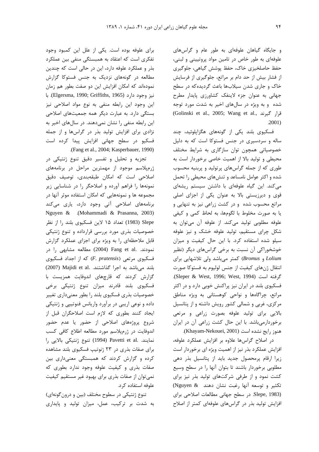و جایگاه گیاهان علوفهای به طور عام و گراس های علوفهای به طور خاص در تامین مواد پروتیینی و لبنی، حفظ حاصلخیزی خاک، حفظ پوشش گیاهی، جلوگیری از فشار بیش از حد دام بر مراتع، جلوگیری از فرسایش خاک و جاری شدن سیلابها باعث گردیده که در سطح جهانی به عنوان جزء لاینفک کشاورزی پایدار مطرح شده و به ویژه در سالهای اخیر به شدت مورد توجه (Golinski et al., 2005; Wang et al., 3  $.2001)$ 

فسکیوی بلند یکی از گونههای هگزاپلوئید، چند ساله و سردسیری در جنس فستوکا است که به دلیل خصوصیاتی همچون توان سازگاری به شرایط مختلف محیطی و تولید بالا از اهمیت خاصی برخوردار است به طوری که از جمله گراسهای پرتولید و پربنیه محسوب شده و اکثر عوامل نامساعد و تنشهای محیطی را تحمل می کند. این گیاه علوفهای با داشتن سیستم ریشهای قوی و دیرزیستی بالا به عنوان یکی از اجزای اصلی مراتع محسوب شده و در کشت زراعی نیز به تنهایی و يا به صورت مخلوط با لگومها، به لحاظ كمى و كيفى علوفه مطلوبي توليد مي كند. از علوفه آن مي توان به شکل چرای مستقیم، تولید علوفه خشک و نیز علوفه سیلو شده استفاده کرد. با این حال کیفیت و میزان خوشخوراکی آن نسبت به برخی گراس های دیگر (نظیر Lolium و Bromus) کمتر می باشد ولی تلاشهایی برای انتقال ژنهای کیفیت از جنس لولیوم به فستوکا صورت .Sleper & West, 1996; West, 1994) فسکیوی بلند در ایران نیز پراکنش خوبی دارد و در اکثر مراتع، چراگاهها و نواحی کوهستانی به ویژه مناطق مرکزی، غربی و شمالی کشور رویش داشته و از پتانسیل بالایی برای تولید علوفه بصورت زراعی و مرتعی برخوردارمیباشد. با این حال کشت زراعی آن در ایران هنوز رايج نشده است (Khayam-Nekouei, 2001).

در اصلاح گراسها علاوه بر افزایش عملکرد علوفه، افزایش عملکرد بذر نیز از اهمیت ویژه ای برخوردار است زیرا ارقام پرمحصول جدید باید از پتانسیل بذر دهی مطلوبی برخوردار باشند تا بتوان آنها را در سطح وسیع کشت نمود و از طرفی شرکتهای تولید بذر نیز برای تكثير وتوسعه آنها رغبت نشان دهند (Nguyen & Slepe, 1983). در سطح جهانی مطالعات اصلاحی برای افزایش تولید بذر در گراسهای علوفهای کمتر از اصلاح

برای علوفه بوده است. یکی از علل این کمبود وجود تفکری است که اعتقاد به همبستگی منفی بین عملکرد بذر و عملکرد علوفه دارد، این در حالی است که چندین مطالعه در گونههای نزدیک به جنس فستوکا گزارش نمودهاند که امکان افزایش این دو صفت بطور هم زمان نيز وجود دارد (Elgersma, 1990; Griffiths, 1965). با این وجود این رابطه منفی به نوع مواد اصلاحی نیز بستگی دارد. به عبارت دیگر همه جمعیتهای اصلاحی این رابطه منفی را نشان نمی دهند. در سال های اخیر به نژادی برای افزایش تولید بذر در گراسها و از جمله فسکیو در سطح جهانی افزایش پیدا کرده است .(Fang et al., 2004; Kasperbauer, 1990)

تجزیه و تحلیل و تفسیر دقیق تنوع ژنتیکی در ژرمپلاسم موجود از مهمترین مراحل در برنامههای اصلاحی است که امکان طبقهبندی، توصیف دقیق نمونهها را فراهم آورده و اصلاحگر را در شناسایی زیر مجموعه ها و نمونههایی که امکان استفاده موثر آنها در برنامههای اصلاحی آتی وجود دارد، پاری میکند Nguyen & (Mohammadi & Prasanna, 2003) Slepe (1983) تعداد ۱۵ لاین فسکیوی بلند را از نظر خصوصیات بذری مورد بررسی قرارداده و تنوع ژنتیکی قابل ملاحظهای را به ویژه برای اجزای عملکرد گزارش نمودند. .Fang et al (2004) مطالعه مشابهی را در فسکیوی مرتعی (F. pratensis) که از اجداد فسکیوی (2007) Majidi et al. بلند میباشد به اجرا گذاشتند. گزارش کردند که قارچهای اندوفایت همزیست با فسكيوي بلند قادرند ميزان تنوع ژنتيكي برخي خصوصیات بذری فسکیوی بلند را بطور معنیداری تغییر داده و نوعی اریبی در برآورد واریانس فنوتیپی و ژنتیکی ایجاد کنند بطوری که لازم است اصلاحگران قبل از شروع پروژههای اصلاحی از حضور یا عدم حضور اندوفایت در ژرمپلاسم مورد مطالعه اطلاع کافی کسب نمايند. .Pavetti et al (1994) تنوع ژنتيكي بالايي را برای صفات بذری در ٢٣ ژنوتيپ فسكيوى بلند مشاهده کرده و گزارش کردند که همبستگی معنیداری بین صفات بذری و کیفیت علوفه وجود ندارد بطوری که نمی توان از صفات بذری برای بهبود غیر مستقیم کیفیت علوفه استفاده کرد.

تنوع ژنتیکی در سطوح مختلف (بین و درون گونهای) به شدت بر ترکیب، عمل، میزان تولید و پایداری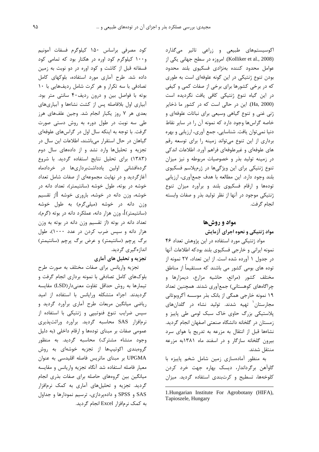اکوسیستمهای طبیعی و زراعی تاثیر میگذارد (Kolliker et al., 2008). امروزه در سطح جهاني يكي از عوامل محدود كننده بهنژادي فسكيوي بلند محدود بودن تنوع ژنتیکی در این گونه علوفهای است به طوری که در برخی کشورها برای برخی از صفات کمی و کیفی در این گیاه تنوع ژنتیکی کافی یافت نگردیده است (Ha, 2000). این در حالی است که در کشور ما ذخایر ژنی غنی و تنوع گیاهی وسیعی برای نباتات علوفهای و خاصه گراسها وجود دارد که نمونه آن را در سایر نقاط دنیا نمیتوان یافت. شناسایی، جمع آوری، ارزیابی و بهره برداری از این تنوع میتواند زمینه را برای توسعه رقم های علوفهای و غیرعلوفهای فراهم آورد. اطلاعات اندکی در زمینه تولید بذر و خصوصیات مربوطه و نیز میزان تنوع ژنتیکی برای این ویژگیها در ژرمپلاسم فسکیوی بلند وجود دارد. این مطالعه با هدف جمعآوری، ارزیابی تودهها و ارقام فسکیوی بلند و برآورد میزان تنوع ژنتیکی موجود در آنها از نظر تولید بذر و صفات وابسته انجام گرفت.

## مواد و روشها

### مواد ژنتیکی و نحوه اجرای آزمایش

مواد ژنتیکی مورد استفاده در این پژوهش تعداد ۴۶ نمونه ايراني وخارجي فسكيوى بلند بودكه اطلاعات آنها در جدول ۱ آورده شده است. از این تعداد، ۲۷ نمونه از توده های بومی کشور می باشند که مستقیماً از مناطق مختلف كشور (مراتع، حاشيه مزارع، ديمزارها و چراگاههای کوهستانی) جمعآوری شدند. همچنین تعداد ۱۹ نمونه خارجی همگی از بانک بذر موسسه آگروبوتانی مجارستان<sup>٬</sup> تهیه شدند. تولید نشاء در گلدانهای پلاستیکی بزرگ حاوی خاک سبک لومی طی پاییز و زمستان در گلخانه دانشگاه صنعتی اصفهان انجام گردید. نشاءها قبل از انتقال به مزرعه به تدریج با هوای سرد بیرون گلخانه سازگار و در اسفند ماه ۱۳۸۱به مزرعه منتقل شدند.

به منظور آمادهسازی زمین شامل شخم پاییزه با گاوآهن برگرداندار، ديسک بهاره جهت خرد کردن کلوخهها، تسطیح و کرتبندی استفاده گردید. میزان

کود مصرفی براساس ۱۵۰ کیلوگرم فسفات آمونیم و ۱۰۰ کیلوگرم کود اوره در هکتار بود که تمامی کود فسفاته قبل از کاشت و کود اوره در دو نوبت به زمین داده شد. طرح آماری مورد استفاده، بلوکهای کامل تصادفی با سه تکرار و هر کرت شامل ردیفهایی با ۱۰ بوته با فواصل بین و درون ردیف۴۰ سانتی متر بود. آبیاری اول بلافاصله پس از کشت نشاءها و آبیاریهای بعدی هر ۷ روز یکبار انجام شد. وجین علفهای هرز طی سه نوبت در طول دوره به روش دستی صورت گرفت. با توجه به اینکه سال اول در گراسهای علوفهای گیاهان در حال استقرار میباشند، اطلاعات این سال در تجزیه و تحلیلها وارد نشد و از دادههای سال دوم (١٣٨٣) براى تحليل نتايج استفاده گرديد. با شروع گردهافشانی اولین یادداشتبرداریها در خردادماه آغازگردید و در نهایت مجموعهای از صفات شامل تعداد خوشه در بوته، طول خوشه (سانتیمتر)، تعداد دانه در خوشه، وزن دانه در خوشه، باروری خوشه [از تقسیم وزن دانه در خوشه (میلیگرم) به طول خوشه (سانتیمتر)]، وزن هزار دانه، عملکرد دانه در بوته (گرم)، تعداد دانه در بوته (از تقسیم وزن دانه در بوته به وزن هزار دانه و سپس ضرب کردن در عدد ۱۰۰۰)، طول برگ پرچم (سانتیمتر) و عرض برگ پرچم (سانتیمتر) اندازەگىرى گردىد.

## تجزیه و تحلیل های آماری

تجزیه واریانس برای صفات مختلف به صورت طرح بلوکهای کامل تصادفی با نمونه برداری انجام گرفت و تیمارها به روش حداقل تفاوت معنیدار(LSD) مقایسه گردیدند. اجزاء متشکله ورایانس با استفاده از امید ریاضی میانگین مربعات طرح آماری برآورد گردید و سپس ضرایب تنوع فنوتیپی و ژنتیکی با استفاده از نرمافزار SAS محاسبه گردید. برآورد وراثتپذیری عمومی صفات بر مبنای تودهها و ارقام داخلی (به دلیل وجود منشاء مشترک) محاسبه گردید. به منظور گروهبندی اکوتیپها از تجزیه خوشهای به روش UPGMA بر مبناى ماتريس فاصله اقليدسى به عنوان معیار فاصله استفاده شد آنگاه تجزیه واریانس و مقایسه میانگین بین گروههای حاصله برای صفات بذری انجام گردید. تجزیه و تحلیلهای آماری به کمک نرمافزار SAS و SPSS و دادهپردازی، ترسیم نمودارها و جداول به کمک نرمافزار Excel انجام گردید.

<sup>1.</sup> Hungarian Institute For Agrobotany (HIFA), Tapioszele, Hungary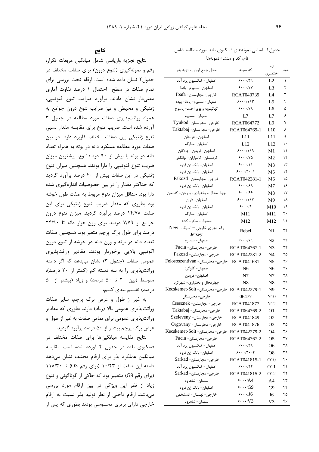## نتايج

نتايج تجزيه واريانس شامل ميانگين مربعات تكرار، رقم و نمونهگیری (تنوع درون) برای صفات مختلف در جدول ٢ نشان داده شده است. ارقام تحت بررسی برای تمام صفات در سطح احتمال ١ درصد تفاوت آماري معنى دار نشان دادند. برآورد ضرايب تنوع فنوتيپى، ژنتیکی و محیطی و نیز ضرایب تنوع درون جوامع به همراه وراثتپذیری صفات مورد مطالعه در جدول ۳ آورده شده است. ضریب تنوع برای مقایسه مقدار نسبی تنوع ژنتیکی بین صفات مختلف کاربرد دارد. در بین صفات مورد مطالعه عملكرد دانه در بوته به همراه تعداد دانه در بوته با بیش از ۹۰ درصدتنوع، بیشترین میزان ضریب تنوع فنوتیپی را دارا بودند. همچنین میزان تنوع ژنتیکی در این صفات بیش از ۴۰ درصد برآورد گردید که حداکثر مقدار را در بین خصوصیات اندازهگیری شده دارا بود. حداقل میزان تنوع مربوط به صفت طول خوشه بود بطوری که مقدار ضریب تنوع ژنتیکی برای این صفت ۱۴/۷۸ درصد برآورد گردید. میزان تنوع درون جوامع از ۷/۷۹ درصد برای وزن هزار دانه تا ۲۴/۹۰ درصد برای طول برگ پرچم متغیر بود. همچنین صفات تعداد دانه در بوته و وزن دانه در خوشه از تنوع درون اکوتیپی بالایی برخوردار بودند. مقادیر وراثتپذیری عمومی صفات (جدول ۳) نشان می دهد که اگر دامنه وراثتپذیری را به سه دسته کم (کمتر از ۲۰ درصد)، متوسط (بین ۲۰ تا ۵۰ درصد) و زیاد (بیشتر از ۵۰ 

به غیر از طول و عرض برگ پرچم، سایر صفات وراثتپذیری عمومی بالا (زیاد) دارند بطوری که مقادیر وراثتپذیری عمومی برای تمامی صفات به غیر از طول و عرض برگ پرچم بیشتر از ۵۰ درصد برآورد گردید.

نتایج مقایسه میانگینها برای صفات مختلف در فسکیوی بلند در جدول ۴ آورده شده است. مقایسه میانگین عملکرد بذر برای ارقام مختلف نشان مے،دھد دامنه این صفت از ۱۰/۲۳ (برای رقم O3) تا ۱۱۸/۳۰ (برای رقم G9) متغییر بود که حاکی از گوناگونی و تنوع زیاد از نظر این ویژگی در بین ارقام مورد بررسی میباشد. ارقام داخلی از نظر تولید بذر نسبت به ارقام خارجی دارای برتری محسوسی بودند بطوری که پس از

جدول ۱ – اسامی نمونههای فسکیوی بلند مورد مطالعه شامل البرنجين وهامز ومعا

| نام، تد و منشاء بموتهها                      |                         |                |      |  |  |  |  |  |  |
|----------------------------------------------|-------------------------|----------------|------|--|--|--|--|--|--|
| محل جمع أوري و تهيه بذر                      | كد نمونه                | نام<br>اختصاري | رديف |  |  |  |  |  |  |
| اصفهان- كلكسيون يزد آباد                     | 9.1.179                 | L2             | ١    |  |  |  |  |  |  |
| اصفهان- سميرم- پادنا                         | 5.001                   | L3             | ٢    |  |  |  |  |  |  |
| خارجي- مجارستان- Ibafa                       |                         |                | ٣    |  |  |  |  |  |  |
|                                              | RCAT040739              | I A            |      |  |  |  |  |  |  |
| اصفهان- سميرم- پادنا- بيده                   | 5.0111                  | L5             | ۴    |  |  |  |  |  |  |
| كهكيلويه و بوير احمد- ياسوج                  | $9 \cdots N$            | L6             | ۵    |  |  |  |  |  |  |
| اصفهان- سميرم                                | L7                      | L7             | ۶    |  |  |  |  |  |  |
| خارجى- مجارستان- Tyukod                      | RCAT064772              | L9             | ٧    |  |  |  |  |  |  |
| خارجي- مجارستان- Taktabaj                    | RCAT064769-1            | L10            | ٨    |  |  |  |  |  |  |
| اصفهان- هونجان                               | L11                     | L11            | ٩    |  |  |  |  |  |  |
| اصفهان- مباركه                               | L12                     | L12            | ۱۰   |  |  |  |  |  |  |
| اصفهان- فريدن- چادگان                        | 5.0119                  | M1             | ۱۱   |  |  |  |  |  |  |
| كردستان- كامياران- توانكش                    | 9.11                    | M2             | ۱۲   |  |  |  |  |  |  |
| اصفهان- بانک ژن فزوه                         | 5.001                   | M3             | ۱۳   |  |  |  |  |  |  |
| اصفهان- بانک ژن فزوه                         | $5 \cdots   1 \cdots  $ | M5             | ۱۴   |  |  |  |  |  |  |
| خارجى- مجارستان- Pakozd                      | RCAT042281-1            | M6             | ۱۵   |  |  |  |  |  |  |
| اصفهان- بانک ژن فزوه                         | 5.19A                   | M7             | ۱۶   |  |  |  |  |  |  |
| چهار محال و بختیاری- بروجن- گندمان           | 5.199                   | M8             | ۱۷   |  |  |  |  |  |  |
| اصفهان- داران                                | 5.0111                  | M9             | ۱۸   |  |  |  |  |  |  |
| اصفهان- بانک ژن فزوه                         | 9.1.19                  | M10            | ۱۹   |  |  |  |  |  |  |
| اصفهان- مباركه                               | M11                     | M11            | ٢٠   |  |  |  |  |  |  |
| اصفهان- نطنز- كشه                            | M12                     | M12            | ۲۱   |  |  |  |  |  |  |
| رقم تجاري خارجي - آمريكا- New                |                         |                |      |  |  |  |  |  |  |
| Jersey                                       | Rebel                   | N1             | ۲۲   |  |  |  |  |  |  |
| اصفهان- سميرم                                | ۶۰۰۰/۷۹                 | N2             | ۲۳   |  |  |  |  |  |  |
| خارجي- مجارستان- Pacin                       | RCAT064767-1            | N3             | ۲۴   |  |  |  |  |  |  |
| خارجى- مجارستان- Pakozd                      | RCAT042281-2            | N4             | ۲۵   |  |  |  |  |  |  |
| خارجی- مجارستان- Felososzentivan             | RCAT041681              | N5             | ۲۶   |  |  |  |  |  |  |
|                                              | N <sub>6</sub>          |                | ٢٧   |  |  |  |  |  |  |
| اصفهان- گلوگرد                               |                         | N6             |      |  |  |  |  |  |  |
| اصفهان- فريدن                                | N7                      | N7             | ۲۸   |  |  |  |  |  |  |
| چهارمحال و بختیاری- شهر کرد                  | N8                      | N8             | ۲۹   |  |  |  |  |  |  |
| RCAT042279-1 خارجي- مجارستان- Kecskemet-Solt |                         | N9             | ٣٠   |  |  |  |  |  |  |
| خارجي- مجارستان                              | 06477                   | N10            | ۳۱   |  |  |  |  |  |  |
| خارجى- مجارستان- Csesznek                    | RCAT041877              | N12            | ٣٢   |  |  |  |  |  |  |
| خارجى- مجارستان- Taktabaj                    | RCAT064769-2            | 01             | ٣٣   |  |  |  |  |  |  |
| خارجی- مجارستان- Szeleveny                   | RCAT041849              | O <sub>2</sub> | ٣۴   |  |  |  |  |  |  |
| خارجی- مجارستان- Orgovany                    | <b>RCAT041876</b>       | O <sub>3</sub> | ٣۵   |  |  |  |  |  |  |
| RCAT042279-2 خارجى- مجارستان- Kecskemet-Solt |                         | O4             | ٣۶   |  |  |  |  |  |  |
| خارجي- مجارستان- Pacin                       | RCAT064767-2            | O5             | ٣٧   |  |  |  |  |  |  |
| اصفهان- كلكسيون يزد آباد                     | 9.171                   | O6             | ۳۸   |  |  |  |  |  |  |
| اصفهان- بانک ژن فزوه                         | 5.17.1                  | O8             | ٣٩   |  |  |  |  |  |  |
| خارجى- مجارستان- Sarkad                      | RCAT041815-1            | O10            | ۴٠   |  |  |  |  |  |  |
| اصفهان- كلكسيون يزد آباد                     | 5.177                   | O11            | ۴۱   |  |  |  |  |  |  |
| خارجي- مجارستان- Sarkad                      | RCAT041815-2            | O12            | ۴۲   |  |  |  |  |  |  |
| سمنان- شاهرود                                | $5 \cdots A4$           | A4             | ۴۳   |  |  |  |  |  |  |
| اصفهان- بانک ژن فزوه                         | $5 \cdots$ G9           | G9             | ۴۴   |  |  |  |  |  |  |
| خارجي- لهستان- نامشخص                        | 5.115                   | J6             | ۴۵   |  |  |  |  |  |  |
| سمنان- شاهرود                                | 9.001                   | V3             | ۴۶   |  |  |  |  |  |  |
|                                              |                         |                |      |  |  |  |  |  |  |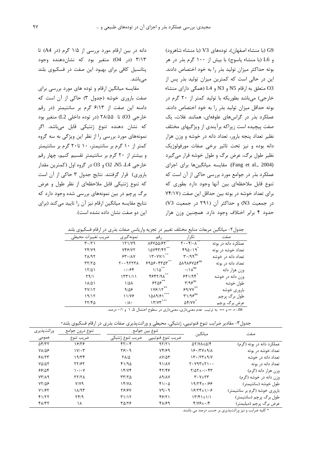G9 (با منشاء اصفهان)، تودههای V3 (با منشاء شاهرود) و L6 (با منشاء ياسوج) با بيش از ١٠٠ گرم بذر در هر بوته حداکثر میزان تولید بذر را به خود اختصاص دادند. این در حالی است که کمترین میزان تولید بذر پس از O3 متعلق به ارقام N5 و N3 و L4 (همگی دارای منشاء خارجي) مي باشد بطوريكه با توليد كمتر از ۲۰ گرم در بوته حداقل میزان تولید بذر را به خود اختصاص دادند. عملکرد بذر در گراسهای علوفهای، همانند غلات، یک صفت پیچیده است زیراکه برآیندی از ویژگیهای مختلف نظیر تعداد پنجه بارور، تعداد دانه در خوشه و وزن هزار دانه بوده و نیز تحت تاثیر برخی صفات مورفولوژیک نظیر طول برگ، عرض برگ و طول خوشه قرار می گیرد (Fang et al., 2004). مقايسه ميانگينها براي اجزاي عملکرد بذر در جوامع مورد بررسی حاکی از آن است که تنوع قابل ملاحظهای بین آنها وجود دارد بطوری که برای تعداد خوشه در بوته بین حداقل این صفت (۷۴/۱۷  $(V3 - K)$  در جمعیت N3) و حداکثر آن (۲۹۱ در جمعیت حدود ۴ برابر اختلاف وجود دارد. همچنین وزن هزار

دانه در بین ارقام مورد بررسی از ۱/۵ گرم (در A4) تا ۳/۱۳ (در O4) متغیر بود که نشاندهنده وجود پتانسیل کافی برای بهبود این صفت در فسکیوی بلند مے باشد.

مقایسه میانگین ارقام و توده های مورد بررسی برای صفت باروری خوشه (جدول ۳) حاکی از آن است که دامنه این صفت از ۶/۱۳ گرم بر سانتیمتر (در رقم خارجی O3) تا ۲۸/۵۵ (در توده داخلی L2) متغیر بود که نشان دهنده تنوع ژنتیکی قابل میباشد. اگر نمونههای مورد بررسی را از نظر این ویژگی به سه گروه کمتر از ۱۰ گرم بر سانتیمتر، ۱۰ تا۲۰ گرم بر سانتیمتر و بیشتر از ۲۰ گرم بر سانتیمتر تقسیم کنیم، چهار رقم خارجي 41، N5 ،L4 و O3 در گروه اول (كمترين مقدار باروری) قرار گرفتند. نتایج جدول ۳ حاکی از آن است که تنوع ژنتیکی قابل ملاحظهای از نظر طول و عرض برگ پرچم در بین نمونههای بررسی شده وجود دارد که نتایج مقایسه میانگین ارقام نیز آن را تایید می کند (برای این دو صفت نشان داده نشده است).

|                               |                   |                   | Ċ                                                                      | <u>.</u>            |
|-------------------------------|-------------------|-------------------|------------------------------------------------------------------------|---------------------|
| ضريب تغييرات محيطي            | نمونه گیر ی       | ر قم              | تكرار                                                                  | صفت                 |
| $\mathbf{r} \cdot \mathbf{r}$ | 171/Y9            | $\lambda$ ۶۷۵۵/۶۲ | $\mathbf{Y} \cdot \cdot \mathbf{Y} / \cdot \overline{\mathbf{A}^{**}}$ | عملکرد دانه در بوته |
| Yf/Y9                         | YfY/Y             | 10Y57/F7          | 490.19                                                                 | تعداد خوشه در بوته  |
| <b>TA/95</b>                  | 54.11             | 17.4V/1           | $\mathbf{r} \cdot \mathbf{q}^{\text{ns}}$                              | تعداد دانه در خوشه  |
| 57/70                         | $Y \cdot 97777$   | 5905.550          | <b>AARASYAT</b> <sup>ns</sup>                                          | تعداد دانه در بوته  |
| ۱۲۵۱                          | .1.88             | $1/10^{27}$       | $\cdot/\lambda^{ns}$                                                   | وزن هزار دانه       |
| Y9/1                          | 1551/11           | $FFY/9\Lambda$    | 551/95                                                                 | وزن دانه در خوشه    |
| ۱۸/۵۱                         | 1/41              | 550               | $\mathbf{y}/\mathbf{q}\mathbf{z}^{\text{ns}}$                          | طول خوشه            |
| <u>YVIJ</u>                   | 9/29              | 1Y5/Y             | 99/77                                                                  | باروري خوشه         |
| 19/17                         | 11/78             | 1019/51           | $\mathbf{r} \mathbf{1}/\mathbf{q} \mathbf{s}^{\text{ns}}$              | طول برگ پرچم        |
| 17/40                         | $\cdot/\lambda$ . | 17/77             | $\Delta f/YV^*$                                                        | عرض برگ پرچم        |
|                               |                   |                   |                                                                        |                     |

جدول۲- میانگین مربعات منابع مختلف تغییر در تجزیه واریانس صفات بذری در ارقام فسکیوی بلند

ns ، \* \* و \*\*\* به ترتیب عدم معنیداری، معنیداری در سطوح احتمال ۰/۵ و ۰/۱ درصد.

جدول۳- مقادیر ضرایب تنوع فنوتیپی، ژنتیکی، محیطی و وراثتپذیری صفات بذری در ارقام فسکیوی بلند\*

| وراثت پذيري        | تنوع درون جوامع                 |                       | تنوع بين جوامع           | ميانگين                                                 | صفت                           |  |
|--------------------|---------------------------------|-----------------------|--------------------------|---------------------------------------------------------|-------------------------------|--|
| عمومی              | ضريب تنوع                       | ضريب تنوع ژنتيكي      | ضريب تنوع فنوتيپي        |                                                         |                               |  |
| $\Delta f/T$       | ۱۶۱۳۶                           | 51.5                  | 97/71                    | $\Delta Y/N\lambda \pm \Delta/\mathfrak{F}$             | عملکرد دانه در بوته (گرم)     |  |
| <b>YAIDS</b>       | $1 \vee \vee \cdot \tau$        | Y51.9                 | Yf/F9                    | $Y^2 - Y^2 + 9$                                         | تعداد خوشه در بوته            |  |
| 91/77              | ۱۹/۳۴                           | $Y\Lambda/\Delta$     | $\lambda V/\Delta \tau$  | $15.77 + 9.7$                                           | تعداد دانه در خوشه            |  |
| $Y\Delta/\Delta Y$ | <b>77/۶۲</b>                    | 41/94                 | 91/AY                    | $Y \cdot Y 9Y + Y \cdot \cdot$                          | تعداد دانه در بوته            |  |
| 99184              | $\mathcal{N} \cdot \mathcal{N}$ | 15/75                 | 47/48                    | $Y/\Delta Y \pm -1.5$                                   | وزن هزار دانه (گرم)           |  |
| $YY/\lambda$ 9     | YY/Y                            | $\tau\tau/\tau\Delta$ | $\lambda$ 9/ $\lambda$ Y | $\mathbf{Y} \cdot \mathbf{Y} \pm \mathbf{Y} \mathbf{Y}$ | وزن دانه در خوشه (گرم)        |  |
| $YY/\Delta P$      | $Y/Y$ ۹                         | 15/4                  | $f\cup\overline{c}$      | 19/۲۴± <i>•166</i>                                      | طول خوشه (سانتيمتر)           |  |
| Y1/FY              | 11/95                           | <b>7818V</b>          | $Y9/\cdot9$              | $18/75 \pm 1/1.8$                                       | باروری خوشه (گرم بر سانتیمتر) |  |
| f177               | Yf/9                            | T115                  | 48/21                    | $Y''/f' + Y$                                            | طول برگ پرچم (سانتيمتر)       |  |
| 41/٣٢              | ۱۸                              | ۳۵/۲۶                 | 41/69                    | $f/Y$ $\div$ $f$                                        | عرض برگ پرچم (میلیمتر)        |  |

\* کلیه ضرایب و نیز وراثتپذیری بر حسب درصد می باشند.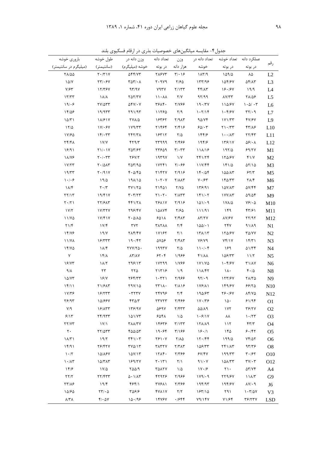| جدول۳- مقایسه میانگینهای حصوصیات بدری در ارقام فسکیوی بلند |                                             |                                          |                                         |                               |                               |                                             |                                          |                 |
|------------------------------------------------------------|---------------------------------------------|------------------------------------------|-----------------------------------------|-------------------------------|-------------------------------|---------------------------------------------|------------------------------------------|-----------------|
| بارورى خوشه                                                | طول خوشه                                    | وزن دانه در                              | تعداد دانه                              |                               | تعداد خوشه تعداد دانه در وزن  |                                             | عملكرد دانه                              | رقم             |
| (میلیگرم در سانتیمتر)                                      | (سانتيمتر)                                  | خوشه (میلیگرم)                           |                                         | هزار دانه در بوته             | خوشه                          | در بوته                                     | در بوته                                  |                 |
| 71/00                                                      | $Y \cdot / Y Y$                             | <b>SFF/VT</b>                            | ٢٨۶٧٣                                   | $\mathbf{y} \cdot \mathbf{y}$ | $P(X \wedge Y)$               | ۱۵۹/۵                                       | ٨۵                                       | L2              |
| 10/Y                                                       | 771.87                                      | $\Gamma \Delta \Upsilon / \cdot \Lambda$ | ۲۰۹۷۹                                   | ۲/۶۵                          | 157/99                        | 154/67                                      | $\Delta f/\Delta T$                      | L <sub>3</sub>  |
| $Y/\mathcal{F}Y$                                           | 17/٣۶٧                                      | 97/9V                                    | <b>YATY</b>                             | Y/177                         | ۴۴/۸۳                         | 18.19Y                                      | 19/9                                     | $\mathbf{L}4$   |
| 1777                                                       | $\lambda/\lambda$                           | $Y\Delta Y/YY$                           | 11.44                                   | $\mathsf{Y}/\mathsf{Y}$       | 97/99                         | $\lambda V/T$                               | ۲۸/۵۶                                    | L <sub>5</sub>  |
| 19/·9                                                      | $YY/\Delta YY$                              | $\Delta f V / \cdot V$                   | ٣۶٨۴.                                   | 7/199                         | 19.77V                        | 110/87                                      | $1 - \Delta/2 + \Upsilon$                | L <sub>6</sub>  |
| 18/08                                                      | ۱۹/۹۳۳                                      | Y91/97                                   | 11780                                   | Y/9                           | 1.7/19                        | $\mathcal{N} \cdot \mathcal{K}/\mathcal{F}$ | $\mathbf{r} \mathbf{y} \cdot \mathbf{y}$ | L7              |
| 10/T1                                                      | 18/917                                      | <b>TYA/4</b>                             | 18382                                   | $Y/9\Lambda Y$                | 98144                         | 1Y1/TT                                      | 41/61                                    | L9              |
| $17/\Delta$                                                | $1Y/\cdot Y$                                | 119/77                                   | ۲۱۴۶۴                                   | $Y/F \setminus F$             | $50/\cdot 7$                  | $Y \cup Y$                                  | 41/16                                    | L10             |
| 18/90                                                      | 15.77                                       | <b>747/۳۸</b>                            | ١۶٣١٢                                   | $\mathsf{Y}/\Delta$           | 14416                         | $1 \cdot \cdot / \Lambda \Upsilon$          | $\Upsilon \Upsilon / \Upsilon \Upsilon$  | L11             |
| <b>TF/FA</b>                                               | $\frac{1}{\sqrt{2}}$                        | 519/7                                    | <b>TT999</b>                            | ۲/۴۶۶                         | ۱۹۴۱۶                         | 158/17                                      | $\Delta$ ۶/۰۸                            | L12             |
| 18/91                                                      | $\uparrow\uparrow/\uparrow\uparrow\uparrow$ | ۳۵۳/۶۲                                   | 77809                                   | $\mathbf{r}/\cdot\mathbf{r}$  | 111/18                        | $197/\Delta$                                | 99/7V                                    | M1              |
| <b><i>IN/YE</i></b>                                        | $Y \cdot / \cdot YY$                        | <b>787/7</b>                             | ۱۹۳۹۷                                   | $\frac{1}{V}$                 | Yf1/Yf                        | 170/87                                      | $f \frac{1}{V}$                          | M <sub>2</sub>  |
| 1Y/Y                                                       | $Y \cdot / \Delta \Lambda Y$                | $T\Delta T/T\Delta$                      | 1YYf1                                   | $Y/\cdot 55$                  | 11Y/FF                        | $151/\Delta$                                | $\Delta Y/\Delta$                        | M <sub>3</sub>  |
| 19/TT                                                      | $Y \cdot / 91Y$                             | 4.070                                    | <b>71474</b>                            | Y/919                         | 16.708                        | ١۵۵/٨٣                                      | 55/7                                     | M <sub>5</sub>  |
| 1.1.9                                                      | 19/2                                        | 191/10                                   | 1.7.7                                   | $Y/\lambda\lambda Y$          | $Y \cdot 194$                 | ۱۴۵/۳۳                                      | $\Upsilon \Lambda / \Upsilon$            | M <sub>6</sub>  |
| $\lambda/\kappa$                                           | $\mathbf{Y} \cdot \mathbf{X}$               | $\Upsilon V \Upsilon \Delta$             | ٢١۴۵١                                   | $Y/Y\Delta$                   | 158/91                        | 107/17                                      | <b>AV/FF</b>                             | M7              |
| $\Upsilon \Upsilon / \Upsilon$                             | 19/F1V                                      | $\mathbf{r} \cdot \mathbf{r}$ /۲۳        | $Y \cup Y$                              | $Y/\lambda YY$                | $1f1/\cdot 7$                 | 177/17                                      | $\Delta$ 9/ $\Delta$ ۴                   | M <sub>9</sub>  |
| $Y \cdot / Y$                                              | <b>TY/SAT</b>                               | 441/21                                   | <b>7811V</b>                            | Y/919                         | 1011.9                        | 178/0                                       | $Y$ ۶/۰۵                                 | M10             |
| 1Y/Y                                                       | 1Y/77Y                                      | 898/4V                                   | 10174                                   | ۲۱۶۵                          | 111/91                        | ۱۴۹                                         | 55/77                                    | M11             |
| 11/Y <sub>0</sub>                                          | 1Y/F1Y                                      | $\mathbf{Y}\cdot\Delta/\Lambda\Delta$    | ۶۵۱۸                                    | $Y/F\Lambda Y$                | $\lambda \Upsilon/\Upsilon V$ | $\lambda Y$ / $\epsilon Y$                  | YY/9Y                                    | M12             |
| Y1/F                                                       | 1Y/F                                        | ۳۷۲                                      | <b>TATAA</b>                            | $\mathbf{Y}/\mathbf{Y}$       | $100/-1$                      | ۲۴۷                                         | $91/\lambda9$                            | N1              |
| 14/48                                                      | 19/Y                                        | 114/47                                   | 17187                                   | $\Upsilon/\Upsilon$           | 151/15                        | 170/87                                      | <b>TA/VY</b>                             | N2              |
| 11/Y                                                       | 19/TTT                                      | 19.797                                   | ۵۷۵۶                                    | $Y/F\Lambda Y$                | 78/79                         | Yf/Y                                        | 15/71                                    | N <sub>3</sub>  |
| 15/40                                                      | $\lambda/\kappa$                            | $\Upsilon V V / \Upsilon \Delta$ .       | ۱۹۹۳۷                                   | $Y/\Delta$                    | 11.1.9                        | ۱۶۹                                         | 01/Tf                                    | N <sub>4</sub>  |
| $\mathsf{Y}^-$                                             | $15/\lambda$                                | <b>AT/AY</b>                             | 55.5                                    | 1/988                         | $f1/\lambda\lambda$           | 108/۳۳                                      | 11/7                                     | N <sub>5</sub>  |
| 18/75                                                      | $\lambda/\tau$                              | ۲۹۶/۱۳                                   | ۱۷۲۹۹                                   | 1/788                         | $1Y1/Y\Delta$                 | 1.594                                       | <b>٣١/٨٧</b>                             | N <sub>6</sub>  |
| $\gamma/\gamma$                                            | ۲۳                                          | ۲۲۵                                      | Y1Y19                                   | $\frac{1}{9}$                 | 111/57                        | $\lambda$                                   | $F \cdot / \Delta$                       | N <sub>8</sub>  |
| $\lambda \Delta/ \Upsilon \Upsilon$                        | 15/1                                        | $Y$ ۶۴/۳۳                                | 1.771                                   | 7/988                         | 97/9                          | 177/۶۷                                      | $Y\Lambda/Y$ $\Delta$                    | N <sub>9</sub>  |
| 15/11                                                      | ٢١/۶٨٣                                      | Y9V/10                                   | $\Upsilon \Upsilon \setminus \Lambda$ . | $Y/\lambda$                   | 178/11                        | 149/67                                      | 55/70                                    | N10             |
| 17/۳۶                                                      | ۱۶/۲۳۳                                      | ۰۳۲۳۷                                    | 24796                                   | $\mathbf{Y}/\mathbf{F}$       | ۱۹۵/۶۳                        | 28.167                                      | $\lambda$ ۴/۷۵                           | N <sub>12</sub> |
| $Y$ ۶/۹۳                                                   | 10/884                                      | 570/7                                    | <b>TTYTT</b>                            | 29917                         | $1Y \cdot  Y$ ۶               | 10.                                         | 81/98                                    | O <sub>1</sub>  |
| $Y$ /۹                                                     | 18/177                                      | 158/97                                   | ۵۶۹۷                                    | Y/FYY                         | $\Delta\Delta/\Lambda$ 9      | 1YY                                         | <b>٣۶/٢٧</b>                             | O <sub>2</sub>  |
| 9/15                                                       | Yf/TY                                       | 101/Y                                    | ۶۵۴۸                                    | $1/\Delta$                    | 1.9/1V                        | ᄾᄉ                                          | $\mathcal{N} \cdot \mathcal{N}$          | O <sub>3</sub>  |
| YY/YY                                                      | 1Y/1                                        | <b>TAA/TY</b>                            | ۱۴۶۳۶                                   | $\mathbf{r}/\mathbf{r}$       | 171/19                        | 117                                         | 57/7                                     | O4              |
| $\mathsf{r}\cdot$                                          | ٢٢/٥٣٣                                      | 400/07                                   | 19.99                                   | 39117                         | 18.1                          | ۱۴۵                                         | 5.187                                    | O <sub>5</sub>  |
| $\lambda/\tau$                                             | 19/7                                        | ۳۴۱/۰۳                                   | ۲۶۱۰۷                                   | 7/10                          | 17.799                        | ۱۹۹/۵                                       | $Yf/\Delta Y$                            | O <sub>6</sub>  |
| 15/91                                                      | 28/474                                      | $\Upsilon V \Delta / \Upsilon$           | <b>TATTY</b>                            | $Y/Y\wedge Y$                 | 108/۳۳                        | <b>TF1/17</b>                               | 97/79                                    | O <sub>8</sub>  |
| 1.7                                                        | 10/187                                      | 10Y/17                                   | 1515.                                   | ۲/۳۶۶                         | 5Y/FV                         | 199/TT                                      | $\mathbf{Y} \cdot \mathbf{191}$          | O <sub>10</sub> |
| $1 - \Lambda r$                                            | ۱۵/۳۸۳                                      | 189/۲۷                                   | ۲۰۱۳۱                                   | ۲/۱                           | $91/\cdot V$                  | 101/77                                      | $\mathbf{y}/\mathbf{y}$                  | 012             |
| 14/8                                                       | $1V/\Delta$                                 | ٢۵۵/٩                                    | <b>TAATY</b>                            | $1/\Delta$                    | $1 V \cdot 19$                | ۲۱۰                                         | $\Delta Y/Yf$                            | A4              |
| YY/Y                                                       | 77/۴۳۳                                      | $\Delta$ - $1/\Delta$ ۳                  | ۴۲۹۲۶                                   | ۲/۹۶۶                         | 119/·9                        | <b>779/67</b>                               | $11\lambda/T$                            | G9              |
| 77/18                                                      | 19/F                                        | 4641                                     | <b>٣٧۶٨١</b>                            | 2318                          | ۱۹۴/۹۳                        | 194/67                                      | ۸۷/۰۹                                    | J6              |
| 10/60                                                      | $\tau\tau/\cdot \Delta$                     | 318/8                                    | FYAIY                                   | Y/Y                           | 18310                         | ۲۹۱                                         | $1 - 7/\Delta V$                         | V <sub>3</sub>  |
| $\lambda/\Upsilon\Lambda$                                  | $\mathfrak{k}/\cdot\Delta\mathsf{V}$        | 10.199                                   | 14787                                   | .7888                         | Y9/YY                         | Y1/Ff                                       | 39/13                                    | <b>LSD</b>      |

رده! ۴- مقایسه میانگت: های خصوصیات بذری در ارقام فسکروی را د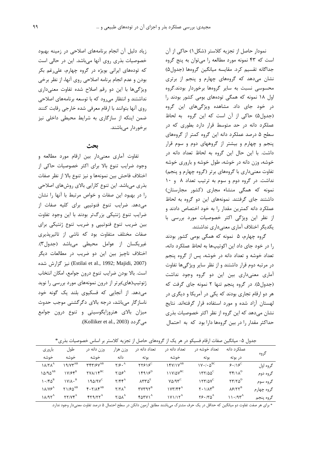نمودار حاصل از تجزیه کلاستر (شکل ۱) حاکی از آن است که ۴۳ نمونه مورد مطالعه را میتوان به پنج گروه جداگانه تقسیم کرد. مقایسه میانگین گروهها (جدول۵) نشان میدهد که گروههای چهارم و پنجم از برتری محسوسی نسبت به سایر گروهها برخوردار بودند.گروه اول ۱۸ نمونه که همگی تودههای بومی کشور بودند را در خود جای داد. مشاهده ویژگیهای این گروه (جدول ۵) حاکی از آن است که این گروه به لحاظ عملکرد دانه در حد متوسط قرار دارد بطوری که در سطح ۵ درصد عملکرد دانه این گروه کمتر از گروههای ینجم و چهارم و بیشتر از گروههای دوم و سوم قرار داشت. با این حال این گروه به لحاظ تعداد دانه در خوشه، وزن دانه در خوشه، طول خوشه و باروری خوشه تفاوت معنیداری با گروههای برتر (گروه چهارم و پنجم) نداشت. در گروه دوم و سوم به ترتیب تعداد ۸ و ۱۰ نمونه که همگی منشاء مجاری (کشور مجارستان) داشتند جای گرفتند. نمونههای این دو گروه به لحاظ عملکرد دانه کمترین مقدار را به خود اختصاص دادند و از نظر این ویژگی اکثر خصوصیات مورد بررسی با یکدیگر اختلاف آماری معنی داری نداشتند.

گروه چهارم، ۵ نمونه که همگی بومی کشور بودند را در خود جای داد این اکوتیپها به لحاظ عملکرد دانه، تعداد خوشه و تعداد دانه در خوشه، پس از گروه پنجم در مرتبه دوم قرار داشتند و از نظر سایر ویژگیها تفاوت آماری معنیداری بین این دو گروه وجود نداشت (جدول۵). در گروه پنجم تنها ۲ نمونه جای گرفت که هر دو ارقام تجاری بودند که یکی در آمریکا و دیگری در لهستان آزاد شده و مورد استفاده قرار گرفتهاند. نتایج نشان میدهد که این گروه از نظر اکثر خصوصیات بذری حداکثر مقدار را در بین گروهها دارا بود که به احتمال

زیاد دلیل آن انجام برنامههای اصلاحی در زمینه بهبود خصوصیات بذری روی آنها میباشد. این در حالی است که تودههای ایرانی بویژه در گروه چهارم، علی غم بکر بودن و عدم انجام برنامه اصلاحی روی آنها، از نظر برخی ویژگیها با این دو رقم اصلاح شده تفاوت معنیداری نداشتند و انتظار می رود که با توسعه برنامههای اصلاحی روی آنها بتوانند با ارقام معرفی شده خارجی رقابت کنند ضمن اینکه از سازگاری به شرایط محیطی داخلی نیز بر خور دار مے باشند.

### ىحث

تفاوت آماری معنیدار بین ارقام مورد مطالعه و وجود ضرایب تنوع بالا برای اکثر خصوصیات حاکی از اختلاف فاحش بين نمونهها و نيز تنوع بالا از نظر صفات بذری میباشد. این تنوع کارایی بالای روشهای اصلاحی را در بهبود این صفات و خواص مرتبط با آنها را نشان می دهد. ضرایب تنوع فنوتیپی برای کلیه صفات از ضرایب تنوع ژنتیکی بزرگتر بودند با این وجود تفاوت بین ضریب تنوع فنوتیپی و ضریب تنوع ژنتیکی برای صفات مختلف متفاوت بود که ناشی از تاثیرپذیری غيريكسان از عوامل محيطى مىباشد (جدول٣). اختلاف ناچیز بین این دو ضریب در مطالعات دیگر (Estilai et al., 1992; Majidi, 2007) نيز گزارش شده است. بالا بودن ضرایب تنوع درون جوامع، امکان انتخاب ژنوتیپ(های)برتر از درون نمونههای مورد بررسی را نوید می دهد. از آنجایی که فسکیوی بلند یک گونه خود ناسازگار می باشد، درجه بالای دگرگشنی موجب حدوث میزان بالای هتروزایگوسیتی و تنوع درون جوامع می گردد (Kolliker et al., 2003).

جدول ۵– میانگین صفات ارقام فسیکو در هر یک از گروههای حاصل از تجزیه کلاستر بر اساس خصوصیات بذری\*

| بارورى                                       | طول                                       | وزن دانه در                                                                | وزن هزار                                  | تعداد دانه د,                                   | تعداد دانه د,                                     | تعداد خوشه در                                                    | عملکر د دانه                                                      | گروه       |
|----------------------------------------------|-------------------------------------------|----------------------------------------------------------------------------|-------------------------------------------|-------------------------------------------------|---------------------------------------------------|------------------------------------------------------------------|-------------------------------------------------------------------|------------|
| خوشه                                         | خوشه                                      | خوشه                                                                       | دانه                                      | يو ته                                           | خوشه                                              | بو ته                                                            | در بوته                                                           |            |
| $\Lambda/\Upsilon\Lambda^A$                  | $19/VW^{AB}$                              | $\mathbf{r} \mathbf{r} \mathbf{r}$ / $\mathbf{r} \mathbf{v}^{\mathrm{AB}}$ | $Y/\mathfrak{S}$ . <sup>A</sup>           | $\mathsf{YY}\mathsf{F1}\mathsf{F}^{\mathsf{C}}$ | $YY/Y^{AB}$                                       | $1V \cdot / \cdot \Delta^{BC}$                                   | $9.18^{\circ}$                                                    | گروه اول   |
| $10/90^{AB}$                                 | $1V/FF^B$                                 | $\mathsf{Y}\mathsf{Y}\mathsf{A}$ / $\mathsf{Y}^{\text{BC}}$                | $Y/\Delta S^A$                            | $15915^D$                                       | $11Y/\Delta V^{BC}$                               | $177/00^{\circ}$                                                 | $\mathbf{r}\mathbf{r}/\mathbf{v}^{\mathrm{D}}$                    | گروه دوم   |
| $\mathcal{N} \cdot \mathcal{N}^{\mathrm{B}}$ | $\mathsf{V}/\mathsf{A}\cdot^{\mathsf{B}}$ | $190/9V^C$                                                                 | $Y/\mathfrak{F}\mathfrak{F}^{\mathrm{A}}$ | $\lambda$ ۳۳ $\Delta^E$                         | $Y\Delta/T^C$                                     | 155/20                                                           | $\mathbf{Y}\mathbf{Y}/\mathbf{Y}\boldsymbol{\Delta}^{\mathrm{D}}$ | گروه سوم   |
| $\lambda$ / $V$ $S^A$                        | $Y1/F\Delta^{AB}$                         | $F \cdot Y / \Lambda F^{AB}$                                               | $Y/Y\Lambda^A$                            | $rrrrqr^B$                                      | ۱۷۳/۴۴ $^{\rm A}$                                 | $\mathbf{Y} \cdot \mathbf{1}/\mathbf{A} \mathbf{Y}^{\mathrm{B}}$ | $\lambda$ ۶/۲۲ <sup>B</sup>                                       | گروه چهارم |
| ۱۸/۹ $\mathsf{Y}^\mathrm{A}$                 | $YY/VP^A$                                 | $YY9/YY^A$                                                                 | $Y/\Delta\lambda^A$                       | $f \wedge f' \vee \wedge^A$                     | $\mathsf{IV} \mathsf{IV} \mathsf{N}^{\mathsf{A}}$ | $Y \xi \cdot (Y \Delta^A)$                                       | 11.79                                                             | گروه ينجم  |

\* برای هر صفت تفاوت دو میانگین که حداقل در یک حرف مشترک میباشند مطابق آزمون دانکن در سطح احتمال ۵ درصد تفاوت معنیدار وجود ندارد.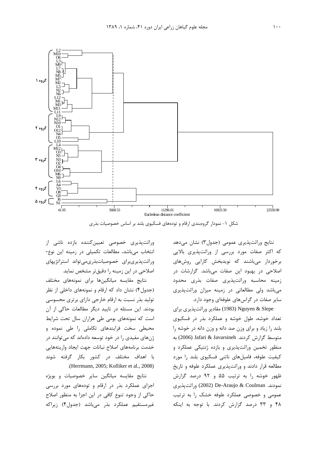

شکل ۱- نمودار گروهبندی ارقام و تودههای فسکیوی بلند بر اساس خصوصیات بذری

وراثتپذیری خصوصی تعیینکننده بازده ناشی از انتخاب می باشد، مطالعات تکمیلی در زمینه این نوع-وراثت پذیریبرای خصوصیاتبذریمی تواند استراتژیهای اصلاحی در این زمینه را دقیقتر مشخص نماید.

نتايج مقايسه ميانگينها براى نمونههاى مختلف (جدول۴) نشان داد که ارقام و نمونههای داخلی از نظر تولید بذر نسبت به ارقام خارجی دارای برتری محسوسی بودند. این مسئله در تایید دیگر مطالعات حاکی از آن است که نمونههای بومی طی هزاران سال تحت شرایط محیطی سخت فرایندهای تکاملی را طی نموده و ژنهای مفیدی را در خود توسعه دادهاند که میتوانند در خدمت برنامههاى اصلاح نباتات جهت ايجاد واريتههايي با اهداف مختلف در کشور بکار گرفته شوند .(Herrmann, 2005; Kolliker et al., 2008)

نتايج مقايسه ميانگين ساير خصوصيات و بويژه اجزای عملکرد بذر در ارقام و تودههای مورد بررسی حاکی از وجود تنوع کافی در این اجزا به منظور اصلاح غیرمستقیم عملکرد بذر میباشد (جدول۴) زیراکه

نتایج وراثتپذیری عمومی (جدول۳) نشان میدهد که اکثر صفات مورد بررسی از وراثتپذیری بالایی برخوردار میباشند که نویدبخش کارایی روشهای اصلاحی در بهبود این صفات میباشد. گزارشات در زمينه محاسبه وراثتپذيري صفات بذري محدود میباشد ولی مطالعاتی در زمینه میزان وراثتپذیری سایر صفات در گراسهای علوفهای وجود دارد.

Nguyen & Slepe (1983) مقادیر وراثتپذیری برای تعداد خوشه، طول خوشه و عملکرد بذر در فسکیوی بلند را زیاد و برای وزن صد دانه و وزن دانه در خوشه را متوسط گزارش کردند. Jafari & Javarsineh (2006) به منظور تخمین وراثتپذیری و بازده ژنتیکی عملکرد و کیفیت علوفه، فامیلهای ناتنی فسکیوی بلند را مورد مطالعه قرار دادند و وراثتپذیری عملکرد علوفه و تاریخ ظهور خوشه را به ترتیب ۵۵ و ۹۲ درصد گزارش نمودند. De-Araujo & Coulman (2002) وراثت پذیری عمومی و خصوصی عملکرد علوفه خشک را به ترتیب ۴۸ و ۳۳ درصد گزارش کردند. با توجه به اینکه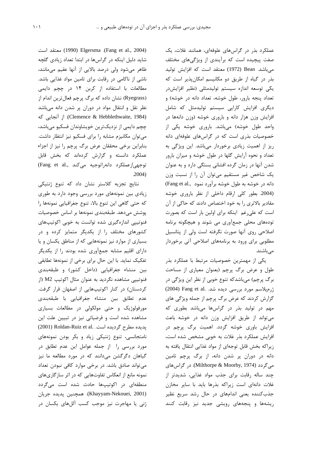عملکرد بذر در گراسهای علوفهای، همانند غلات، یک صفت پیچیده است که برآیندی از ویژگیهای مختلف مي باشد. Bean (1972) معتقد است كه افزايش توليد بذر در گیاه از طریق دو مکانیسم امکانپذیر است که یکی توسعه اندازه سیستم تولیدمثلی (نظیر افزایش در تعداد پنجه بارور، طول خوشه، تعداد دانه در خوشه) و دیگری افزایش کارایی سیستم تولیدمثل که شامل افزایش وزن هزار دانه و باروری خوشه (وزن دانهها در واحد طول خوشه) میباشد. باروری خوشه یکی از خصوصیات بذری است که در گراسهای علوفهای دانه ریز از اهمیت زیادی برخوردار میباشد. این ویژگی به تعداد و نحوه آرایش گلها در طول خوشه و میزان بارور شدن آنها در زمان گرده افشانی بستگی دارد و به عنوان یک شاخص غیر مستقیم می توان آن را از نسبت وزن دانه در خوشه به طول خوشه برآورد نمود ..Fang et al (2004. بطور کلی ارقام داخلی از نظر باروری خوشه مقادیر بالاتری ٫ا به خود اختصاص دادند که حاکی از آن است که علی رغم اینکه برای اولین بار است که بصورت تودههای محلی جمعآوری می شوند و هیچگونه برنامه اصلاحی روی آنها صورت نگرفته است ولی از پتانسیل مطلوبی برای ورود به برنامههای اصلاحی آتی برخوردار مے ماشند.

یکی از مهمترین خصوصیات مرتبط با عملکرد بذر طول و عرض برگ پرچم (بعنوان معیاری از مساحت برگ پرچم) میباشدکه تنوع خوبی از نظر این ویژگی در ژرمپلاسم مورد بررسی دیده شد. .Pang et al (2004) گزارش کردند که عرض برگ پرچم از جمله ویژگی های مهم در تولید بذر در گراسها میباشد بطوری که می تواند از طریق افزایش وزن دانه در خوشه باعث افزایش باوری خوشه گردد. اهمیت برگ پرچم در افزایش عملکرد بذر غلات به خوبی مشخص شده است، زیراکه بخش قابل توجهای از مواد غذایی انتقال یافته به دانه در دوران پر شدن دانه، از برگ پرچم تامین می گردد (Milthorpe & Moorby, 1974). در گراس،های چند ساله رقابت برای جذب مواد غذایی، شدیدتر از غلات دانهای است زیراکه بذرها باید با سایر مخازن جذب کننده یعنی اندامهای در حال رشد سریع نظیر ریشهها و پنجههای رویشی جدید نیز رقابت کنند

(Fang et al., 2004). Elgersma (Fang et al., 2004) شاید دلیل اینکه در گراسها در ابتدا تعداد زیادی گلچه ظاهر می شود ولی درصد بالایی از آنها عقیم می مانند، ناشی از ناکامی در رقابت برای تامین مواد غذایی باشد. مطالعات با استفاده از کربن ۱۴ در چچم دایمی (Ryegrass) نشان داده که برگ پرچم فعال ترین اندام از نظر نقل و انتقال مواد در دوران پر شدن دانه میباشد (Clemence & Hebblethwaite, 1984). از آنجایی که چچم دایمی از نزدیکترین خویشاوندان فسکیو میباشد، می توان مکانیزم مشابه را برای فسکیو نیز انتظار داشت. بنابراین برخی محققان عرض برگ پرچم را نیز از اجزاء عملکرد دانسته و گزارش کردهاند که بخش قابل (Fang et al., توجهیازعملکرد دانهراتوجیه میکند  $.2004)$ 

نتایج تجزیه کلاستر نشان داد که تنوع ژنتیکی زیادی بین نمونههای مورد بررسی وجود دارد به طوری كه حتى گاهى اين تنوع بالا، تنوع جغرافيايى نمونهها را پوشش میدهد. طبقهبندی نمونهها بر اساس خصوصیات فنوتیپی اندازهگیری شده توانست به خوبی اکوتیپهای کشورهای مختلف را از یکدیگر متمایز کرده و در بسیاری از موارد نیز نمونههایی که از مناطق یکسان و یا دارای اقلیم مشابه جمعآوری شده بودند را از یکدیگر تفکیک نماید. با این حال برای برخی از نمونهها تطابقی بين منشاء جغرافيايي (داخل كشور) و طبقهبندي فنوتیپی مشاهده نگردید به عنوان مثال اکوتیپ M2 (از کردستان) در کنار اکوتیپهایی از اصفهان قرار گرفت. عدم تطابق بين منشاء جغرافيايي با طبقهبندي مورفولوژیک و حتی مولکولی در مطالعات بسیاری مشاهده شده است و فرضیاتی نیز در تبیین علت این يديده مطرح گرديده است. .Roldan-Ruiz et al (2001) نامتجانسی، تنوع ژنتیکی زیاد و بکر بودن نمونههای مورد بررسی را از جمله عوامل این عدم تطابق در گیاهان دگرگشن میدانند که در مورد مطالعه ما نیز میتواند صادق باشد. در برخی موارد کافی نبودن تعداد نمونه مانع از انعکاس تفاوتهایی که در اثر سازگاریهای منطقهای در اکوتیپها حادث شده است میگردد (Khayyam-Nekouei, 2001). همچنین پدیده جریان ژنی یا مهاجرت نیز موجب کسب آللهای یکسان در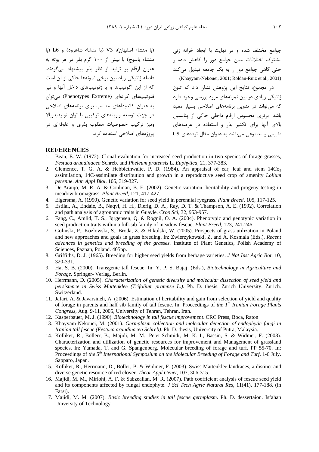(با منشاء اصفهان)، V3 (با منشاء شاهرود) و L6 (با منشاء یاسوج) با بیش از ۱۰۰ گرم بذر در هر بوته به عنوان ارقام پر تولید از نظر بذر پیشنهاد می گردند. فاصله ژنتیکی زیاد بین برخی نمونهها حاکی از آن است که از این اکوتیپها و یا ژنوتیپهای داخل آنها و نیز فنوتیپهای کرانهای (Phenotypes Extreme) میتوان به عنوان كانديداهاى مناسب براى برنامههاى اصلاحى در جهت توسعه واریتههای ترکیبی با توان تولیدبذربالا ونیز ترکیب خصوصیات مطلوب بذری و علوفهای در یروژەهای اصلاحی استفاده کرد.

جوامع مختلف شده و در نهایت با ایجاد خزانه ژنی مشترک اختلافات میان جوامع دور را کاهش داده و حتی گاهی جوامع دور را به یک جامعه تبدیل میکند (Khayyam-Nekouei, 2001; Roldan-Ruiz et al., 2001)

در مجموع، نتایج این پژوهش نشان داد که تنوع ژنتیکی زیادی در بین نمونههای مورد بررسی وجود دارد که می تواند در تدوین برنامههای اصلاحی بسیار مفید باشد. برتری محسوس ارقام داخلی حاکی از پتانسیل بالای آنها برای تکثیر بذر و استفاده در عرصههای طبیعی و مصنوعی میباشد به عنوان مثال تودههای G9

#### **REFERENCES**

- Bean, E. W. (1972). Clonal evaluation for increased seed production in two species of forage grasses,  $\mathbf{1}$ Festuca arundinacea Schreb. and Pheleum pratensis L. Euphytica, 21, 377-383.
- $2^{1}$ Clemence, T. G. A. & Hebblethwaite, P. D. (1984). An appraisal of ear, leaf and stem  $14Co<sub>2</sub>$ assimilation, 14C-assimilate distribution and growth in a reproductive seed crop of amenity Lolium perenne. Ann Appl Biol, 105, 319-327.
- 3. De-Araujo, M. R. A. & Coulman, B. E. (2002). Genetic variation, heritability and progeny testing in meadow bromagrass. Plant Breed, 121, 417-427.
- 4. Elgersma, A. (1990). Genetic variation for seed yield in perennial ryegrass. Plant Breed, 105, 117-125.
- 5. Estilai, A., Ehdaie, B., Naqvi, H. H., Dierig, D. A., Ray, D. T. & Thampson, A. E. (1992). Correlation and path analysis of agronomic traits in Guayle. Crop Sci, 32, 953-957.
- 6. Fang, C., Amlid, T. S., Jgrgensen, O. & Rognil, O. A. (2004). Phenotypic and genotypic variation in seed production traits within a full-sib family of meadow fescue. Plant Breed, 123, 241-246.
- 7. Golinski, P., Kozlowski, S., Broda, Z. & Hikulski, W. (2005). Prospects of grass utilization in Poland and new approaches and goals in grass breeding. In: Zwierzykowski, Z. and A. Kosmala (Eds.). Recent advances in genetics and breeding of the grasses. Institute of Plant Genetics, Polish Academy of Sciences, Paznan, Poland. 405pp.
- 8. Griffiths, D. J. (1965). Breeding for higher seed yields from herbage varieties. J Nat Inst Agric Bot, 10, 320-331.
- 9. Ha, S. B. (2000). Transgenic tall fescue. In: Y. P. S. Bajaj, (Eds.), Biotechnology in Agriculture and Forage. Springer- Verlag, Berlin.
- 10. Herrmann, D. (2005). Characterization of genetic diversity and molecular dissection of seed yield and persistence in Swiss Mattenklee (Trifolium pratense L.). Ph. D. thesis. Zurich University. Zurich. Switzerland.
- 11. Jafari, A. & Javarsineh, A. (2006). Estimation of heritability and gain from selection of yield and quality of forage in parents and half sib family of tall fescue. In: Proceedings of the  $I<sup>th</sup>$  Iranian Forage Plants Congress, Aug. 9-11, 2005, University of Tehran, Tehran. Iran.
- 12. Kasperbauer, M. J. (1990). Biotechnology in tall fescue improvement. CRC Press, Boca, Raton
- 13. Khayyam-Nekouei, M. (2001). Germplasm collection and molecular detection of endophytic fungi in Iranian tall fescue (Festuca arundinacea Schreb). Ph. D. thesis, University of Putra, Malaysia.
- 14. Kolliker, R., Bollerr, B., Majidi, M. M., Peter-Schmidr, M. K. I., Bassin, S. & Widmer, F. (2008). Characterization and utilization of genetic resources for improvement and Management of grassland species. In: Yamada, T. and G. Spangenberg. Molecular breeding of forage and turf. PP 55-70. In: Proceedings of the 5<sup>th</sup> International Symposium on the Molecular Breeding of Forage and Turf. 1-6 July. Sapparo, Japan.
- 15. Kolliker, R., Herrmann, D., Boller, B. & Widmer, F. (2003). Swiss Mattenklee landraces, a distinct and diverse genetic resource of red clover. Theor Appl Genet, 107, 306-315.
- 16. Majidi, M. M., Mirlohi, A. F. & Sabzealian, M. R. (2007). Path coefficient analysis of fescue seed yield and its components affected by fungal endophyte. *J Sci Tech Agric Natural Res*, 11(41), 177-188. (in Farsi).
- 17. Majidi, M. M. (2007). Basic breeding studies in tall fescue germplasm. Ph. D. dessertaion. Isfahan University of Technology.